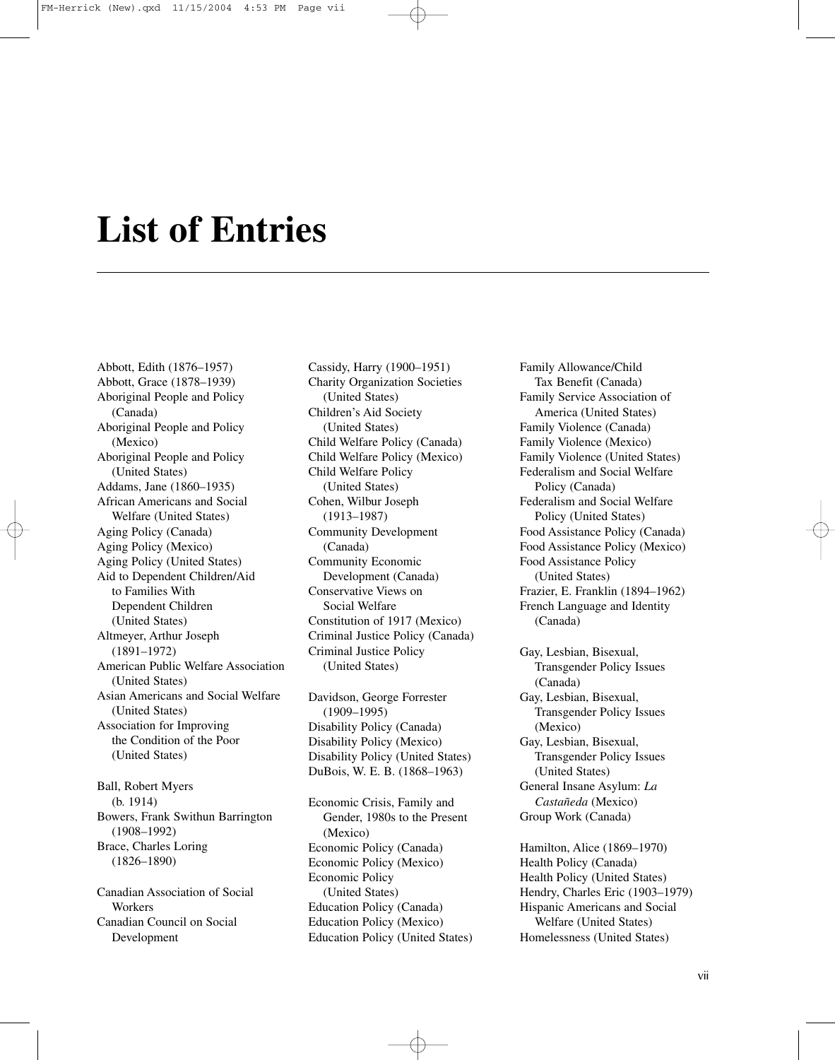## **List of Entries**

Abbott, Edith (1876–1957) Abbott, Grace (1878–1939) Aboriginal People and Policy (Canada) Aboriginal People and Policy (Mexico) Aboriginal People and Policy (United States) Addams, Jane (1860–1935) African Americans and Social Welfare (United States) Aging Policy (Canada) Aging Policy (Mexico) Aging Policy (United States) Aid to Dependent Children/Aid to Families With Dependent Children (United States) Altmeyer, Arthur Joseph (1891–1972) American Public Welfare Association (United States) Asian Americans and Social Welfare (United States) Association for Improving the Condition of the Poor (United States)

Ball, Robert Myers (b. 1914) Bowers, Frank Swithun Barrington (1908–1992) Brace, Charles Loring (1826–1890)

Canadian Association of Social Workers Canadian Council on Social Development

Cassidy, Harry (1900–1951) Charity Organization Societies (United States) Children's Aid Society (United States) Child Welfare Policy (Canada) Child Welfare Policy (Mexico) Child Welfare Policy (United States) Cohen, Wilbur Joseph (1913–1987) Community Development (Canada) Community Economic Development (Canada) Conservative Views on Social Welfare Constitution of 1917 (Mexico) Criminal Justice Policy (Canada) Criminal Justice Policy (United States)

Davidson, George Forrester (1909–1995) Disability Policy (Canada) Disability Policy (Mexico) Disability Policy (United States) DuBois, W. E. B. (1868–1963)

Economic Crisis, Family and Gender, 1980s to the Present (Mexico) Economic Policy (Canada) Economic Policy (Mexico) Economic Policy (United States) Education Policy (Canada) Education Policy (Mexico) Education Policy (United States)

Family Allowance/Child Tax Benefit (Canada) Family Service Association of America (United States) Family Violence (Canada) Family Violence (Mexico) Family Violence (United States) Federalism and Social Welfare Policy (Canada) Federalism and Social Welfare Policy (United States) Food Assistance Policy (Canada) Food Assistance Policy (Mexico) Food Assistance Policy (United States) Frazier, E. Franklin (1894–1962) French Language and Identity (Canada)

Gay, Lesbian, Bisexual, Transgender Policy Issues (Canada) Gay, Lesbian, Bisexual, Transgender Policy Issues (Mexico) Gay, Lesbian, Bisexual, Transgender Policy Issues (United States) General Insane Asylum: *La Castañeda* (Mexico) Group Work (Canada)

Hamilton, Alice (1869–1970) Health Policy (Canada) Health Policy (United States) Hendry, Charles Eric (1903–1979) Hispanic Americans and Social Welfare (United States) Homelessness (United States)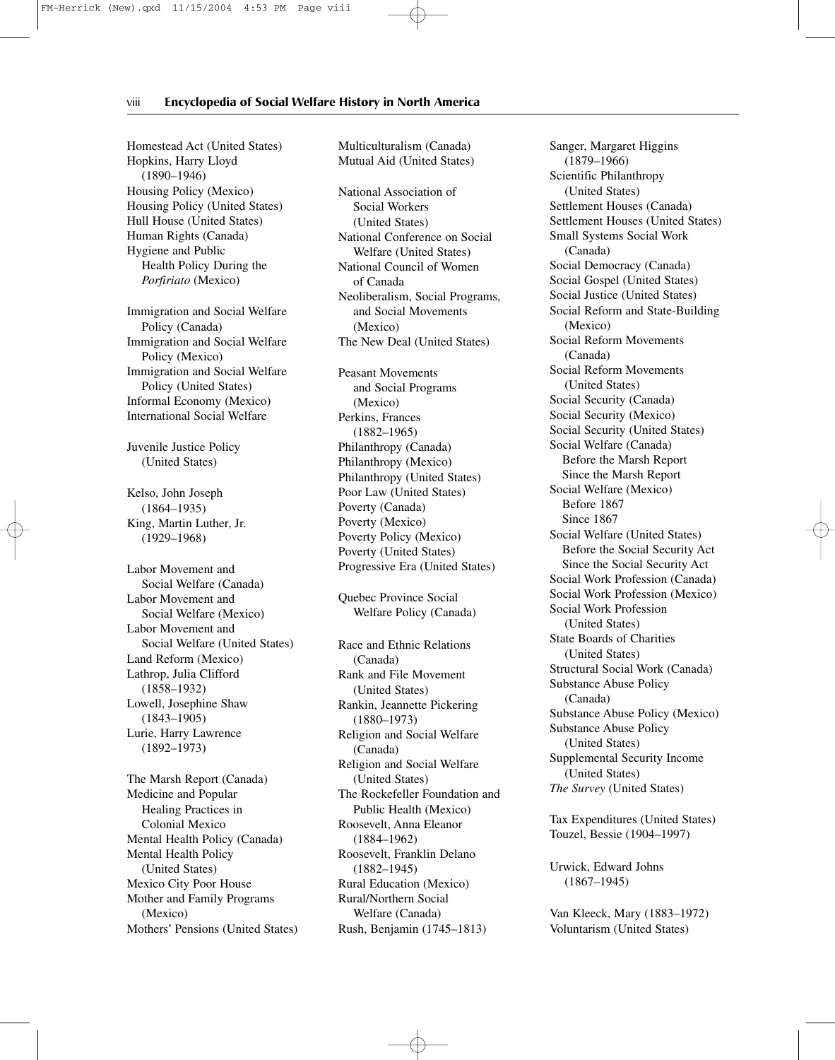## viii**———Encyclopedia of Social Welfare History in North America**

Homestead Act (United States) Hopkins, Harry Lloyd (1890–1946) Housing Policy (Mexico) Housing Policy (United States) Hull House (United States) Human Rights (Canada) Hygiene and Public Health Policy During the *Porfiriato* (Mexico)

Immigration and Social Welfare Policy (Canada) Immigration and Social Welfare Policy (Mexico) Immigration and Social Welfare Policy (United States) Informal Economy (Mexico) International Social Welfare

Juvenile Justice Policy (United States)

Kelso, John Joseph (1864–1935) King, Martin Luther, Jr. (1929–1968)

Labor Movement and Social Welfare (Canada) Labor Movement and Social Welfare (Mexico) Labor Movement and Social Welfare (United States) Land Reform (Mexico) Lathrop, Julia Clifford (1858–1932) Lowell, Josephine Shaw (1843–1905) Lurie, Harry Lawrence (1892–1973)

The Marsh Report (Canada) Medicine and Popular Healing Practices in Colonial Mexico Mental Health Policy (Canada) Mental Health Policy (United States) Mexico City Poor House Mother and Family Programs (Mexico) Mothers' Pensions (United States) Multiculturalism (Canada) Mutual Aid (United States)

National Association of Social Workers (United States) National Conference on Social Welfare (United States) National Council of Women of Canada Neoliberalism, Social Programs, and Social Movements (Mexico) The New Deal (United States)

Peasant Movements and Social Programs (Mexico) Perkins, Frances (1882–1965) Philanthropy (Canada) Philanthropy (Mexico) Philanthropy (United States) Poor Law (United States) Poverty (Canada) Poverty (Mexico) Poverty Policy (Mexico) Poverty (United States) Progressive Era (United States)

Quebec Province Social Welfare Policy (Canada)

Race and Ethnic Relations (Canada) Rank and File Movement (United States) Rankin, Jeannette Pickering (1880–1973) Religion and Social Welfare (Canada) Religion and Social Welfare (United States) The Rockefeller Foundation and Public Health (Mexico) Roosevelt, Anna Eleanor (1884–1962) Roosevelt, Franklin Delano (1882–1945) Rural Education (Mexico) Rural/Northern Social Welfare (Canada) Rush, Benjamin (1745–1813)

Sanger, Margaret Higgins (1879–1966) Scientific Philanthropy (United States) Settlement Houses (Canada) Settlement Houses (United States) Small Systems Social Work (Canada) Social Democracy (Canada) Social Gospel (United States) Social Justice (United States) Social Reform and State-Building (Mexico) Social Reform Movements (Canada) Social Reform Movements (United States) Social Security (Canada) Social Security (Mexico) Social Security (United States) Social Welfare (Canada) Before the Marsh Report Since the Marsh Report Social Welfare (Mexico) Before 1867 Since 1867 Social Welfare (United States) Before the Social Security Act Since the Social Security Act Social Work Profession (Canada) Social Work Profession (Mexico) Social Work Profession (United States) State Boards of Charities (United States) Structural Social Work (Canada) Substance Abuse Policy (Canada) Substance Abuse Policy (Mexico) Substance Abuse Policy (United States) Supplemental Security Income (United States) *The Survey* (United States)

Tax Expenditures (United States) Touzel, Bessie (1904–1997)

Urwick, Edward Johns (1867–1945)

Van Kleeck, Mary (1883–1972) Voluntarism (United States)